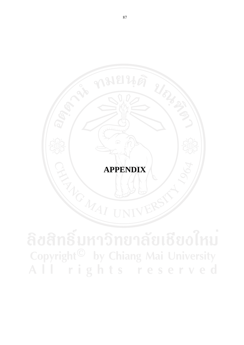# **APPENDIX**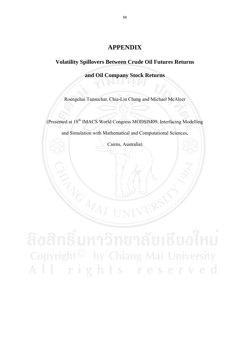# **APPENDIX**

# **Volatility Spillovers Between Crude Oil Futures Returns**

**and Oil Company Stock Returns**

Roengchai Tansuchat, Chia-Lin Chang and Michael McAleer

(Presented at 18th IMACS World Congress MODSIM09, Interfacing Modelling

and Simulation with Mathematical and Computational Sciences,

Cairns, Australia)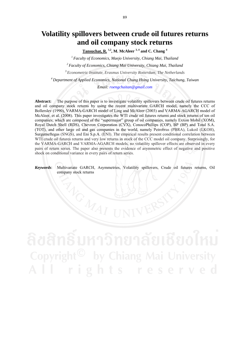# **Volatility spillovers between crude oil futures returns and oil company stock returns**

**Tansuchat, R. 1,2, M. McAleer 3, 4 and C. Chang 4**

*1 Faculty of Economics, Maejo University, Chiang Mai, Thailand* 

*2 Faculty of Economics, Chiang Mai University, Chiang Mai, Thailand* 

*3 Econometric Institute, Erasmus University Rotterdam, The Netherlands*

*4 Department of Applied Economics, National Chung Hsing University, Taichung, Taiwan* 

*Email: roengchaitan@gmail.com* 

**Abstract:** The purpose of this paper is to investigate volatility spillovers between crude oil futures returns and oil company stock returns by using the recent multivariate GARCH model, namely the CCC of Bollerslev (1990), VARMA-GARCH model of Ling and McAleer (2003) and VARMA-AGARCH model of McAleer, et al. (2008). This paper investigates the WTI crude oil futures returns and stock returns of ten oil companies; which are composed of the "supermajor" group of oil companies, namely Exxon Mobil (XOM), Royal Dutch Shell (RDS), Chevron Corporation (CVX), ConocoPhillips (COP), BP (BP) and Total S.A. (TOT), and other large oil and gas companies in the world, namely Petrobras (PBRA), Lukoil (LKOH), Surgutneftegas (SNGS), and Eni S.p.A. (ENI). The empirical results present conditional correlation between WTI crude oil futures returns and very low returns in stock of the CCC model oil company. Surprisingly, for the VARMA-GARCH and VARMA-AGARCH models, no volatility spillover effects are observed in every pairs of return series. The paper also presents the evidence of asymmetric effect of negative and positive shock on conditional variance in every pairs of return series.

*Keywords*: Multivariate GARCH, Asymmetries, Volatility spillovers, Crude oil futures returns, Oil company stock returns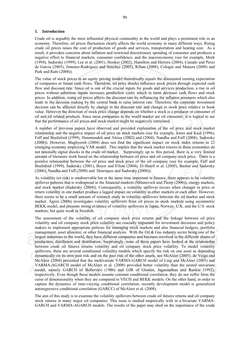### **1. Introduction**

Crude oil is arguably the most influential physical commodity in the world and plays a prominent role in an economy. Therefore, oil prices fluctuation clearly affects the world economy in many different ways. Rising crude oil prices raises the cost of production of goods and services, transportation and heating cost. As a result, it provokes concerns about inflation and restricted discretionary spending of consumer and produces a negative effect to financial markets, consumer confidence, and the macroeconomy (see for example, Mork (1994), Sadorsky (1999), Lee et al. (2001), Hooker (2002), Hamilton and Herrera (2004), Cunado and Perez de Garcia (2005), Jimenez-Rodriguez and Senchez (2005), Kilian (2008), Cologni and Manera (2008) and Park and Ratti (2008)).

The value of stock prices in an equity pricing model theoretically equals the discounted earning expectation of companies or future cash flows. Therefore, oil price shocks influence stock prices through expected cash flow and discount rate. Since oil is one of the crucial inputs for goods and services production, a rise in oil prices without substitute inputs increases production costs; which in turns decrease cash flows and stock prices. In addition, rising oil prices affects the discount rate by influencing the inflation pressures which also leads to the decision making by the central bank to raise interest rate. Therefore, the corporate investment decision can be affected directly by change in the discount rate and change in stock price relative to book value. However the direction of stock price change depends on whether a stock is a producer or consumer of oil and oil related products. Since most companies in the world market are oil consumer, it is logical to see that the performance of oil prices and stock market might be negatively correlated.

A number of previous papers have observed and provided explanation of the oil price and stock market relationship and the negative impact of oil price on stock markets (see for example, Jones and Kaul (1996), Faff and Brailsford (1999), Hammoudeh and Aleisa (2002) and (2004), Nandha and Faff (2008), Sadorsky (2008)). However, Maghyereh (2004) does not find the significant impact on stock index returns in 22 emerging economy employing VAR model. This implies that the stock market returns in these economies do not rationally signal shocks in the crude oil market. Surprisingly up to this period, there is a very limited amount of literature work based on the relationship between oil price and oil company stock price. There is a positive relationship between the oil price and stock price of the oil company (see for example, Faff and Brailsford (1999), Sadorsky (2001), Boyer and Filion (2004), El-Sharif et al. (2005), Basher and Sadorsky (2006), Nandha and Faff (2008) and Henriques and Sadorsky (2008)).

As volatility (or risk) is unobservable but at the same time important in finance, there appears to be volatility spillover patterns that is widespread in the financial markets (Milunovich and Thorp (2006)), energy markets, and stock market (Sadorsky (2004)). Consequently, a volatility spillover occurs when changes in price or return volatility in one market produce a lagged impact on volatility in other markets or each other. However, there seems to be a small amount of research study in volatility spillovers between the oil market and stock market. Ågren (2006) investigates volatility spillovers from oil prices to stock markets using asymmetric BEKK model, and presents strong evidence of volatility spillovers in Japan, Norway, U.K. and the U.S. stock markets; but quite weak in Swedish.

The assessment of the volatility of oil company stock price returns and the linkage between oil price volatility and oil company stock price volatility are crucially important for investment decisions and policy makers to implement appropriate policies for managing stock markets and also financial hedgers, portfolio management, asset allocator, or other financial analysis. With the Oil & Gas industry sector being one of the largest industries in the world, they have different companies and business involved in the different chains of production, distillation and distribution. Surprisingly, none of these papers have looked at the relationship between crude oil futures returns volatility and oil company stock price volatility. To model volatility spillovers, there are several conditional volatility models which specify the risk on one asset as depending dynamically on its own past risk and on the past risk of the other assets, see McAleer (2005). de Veiga and McAleer (2004) presented that the multivariate VARMA-GARCH model of Ling and McAleer (2003) and VARMA-AGARCH model of McAleer et al. (2008) provided better volatility than the nested univariate model, namely GARCH of Bollerslev (1986) and GJR of Glosten, Jagannathan and Runkle (1992), respectively. Even though these models assume constant conditional correlation, they do not suffer form the curse of dimensionality when they are compared to VECH and BEKK models. On the other hand, in order to capture the dynamics of time-varying conditional correlation, recently development model is generalized autoregressive conditional correlation (GARCC) of McAleer et al. (2008).

The aim of this study is to examine the volatility spillovers between crude oil futures returns and oil company stock returns in many major oil companies. This issue is studied empirically with in a bivariate VARMA-GARCH and VARMA-AGARCH models. The results of the paper may shed on the importance of the crude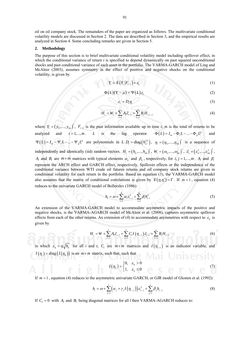oil on oil company stock. The remainders of the paper are organized as follows. The multivariate conditional volatility models are discussed in Section 2. The data are described in Section 3, and the empirical results are analyzed in Section 4. Some concluding remarks are given in Section 5.

### **2. Methodology**

The purpose of this section is to brief multivariate conditional volatility model including spillover effect, in which the conditional variance of return *i* is specified to depend dynamically on past squared unconditional shocks and past conditional variance of each asset in the portfolio. The VARMA-GARCH model of Ling and McAleer (2003), assumes symmetry in the effect of positive and negative shocks on the conditional volatility, is given by

$$
Y_t = E(Y_t | F_{t-1}) + \varepsilon_t \tag{1}
$$

$$
\Phi(L)(Y_t - \mu) = \Psi(L)\varepsilon_t \tag{2}
$$

$$
\varepsilon_t = D_t \eta_t \tag{3}
$$

$$
H_{t} = W_{t} + \sum_{l=1}^{r} A_{l} \vec{\varepsilon}_{t-l} + \sum_{l=1}^{s} B_{l} H_{i,t-j}
$$
(4)

where  $Y_t = (y_1, ..., y_m)$ ,  $F_{t-1}$  is the past information available up to time *t*, *m* is the total of returns to be analyzed and  $t = 1,..., m$ . *L* is the lag operator.  $\Phi(L) = I_m - \Phi_1 L - ... - \Phi_p L^p$  and  $\Psi(L) = I_m - \Psi_1 L - ... - \Psi_q L^q$  are polynomials in *L*.  $D_t = \text{diag}(h_{i,t}^{1/2})$ ,  $\eta_t = (\eta_1, ..., \eta_m)$  is a sequence of independently and identically (iid) random vectors.  $H_t = (h_{tt}, ..., h_{mt})'$ ,  $W_t = (\omega_{tt}, ..., \omega_{mt})'$ ,  $\vec{\varepsilon}_t = (\varepsilon_{tt}^2, ..., \varepsilon_{mt}^2)'$ , *A<sub>i</sub>* and *B<sub>i</sub>* are  $m \times m$  matrices with typical elements  $\alpha_{ii}$  and  $\beta_{ii}$ , respectively, for *i*, *j* = 1,..., *m*. *A<sub>i</sub>* and  $\beta_i$ represent the ARCH effect and GARCH effect, respectively. Spillover effects or the independence of the conditional variance between WTI crude oil futures returns and oil company stock returns are given in conditional volatility for each return in the portfolio. Based on equation (3), the VARMA-GARCH model also assumes that the matrix of conditional correlations is given by  $E(\eta, \eta') = \Gamma$ . If  $m = 1$ , equation (4) reduces to the univariate GARCH model of Bollerslev (1986):

$$
h_{i} = \omega + \sum_{i=1}^{p} \alpha_{i} \varepsilon_{i-i}^{2} + \sum_{i=1}^{q} \beta_{i} h_{i-i}^{2}
$$
 (5)

An extension of the VARMA-GARCH model to accommodate asymmetric impacts of the positive and negative shocks, is the VARMA-AGARCH model of McAleer et al. (2008), captures asymmetric spillover effects from each of the other returns. An extension of (4) to accommodate asymmetries with respect to  $\varepsilon$ <sub>*i*</sub> is given by

$$
H_{t} = W + \sum_{l=1}^{r} A_{l} \vec{\varepsilon}_{t-l} + \sum_{l=1}^{r} C_{l} I(\eta_{t-l}) \vec{\varepsilon}_{t-l} + \sum_{l=1}^{s} B_{l} H_{t-l}
$$
(6)

in which  $\varepsilon_{it} = \eta \sqrt{h_{it}}$  for all *i* and *t*,  $C_i$  are  $m \times m$  matrices and  $I(\eta_{t-l})$  is an indicator variable, and  $I(\eta_t) = diag(I(\eta_{it}))$  is an  $m \times m$  matrix, such that, such that

$$
I(\eta_u) = \begin{cases} 0, & \varepsilon_u > 0 \\ 1, & \varepsilon_u \le 0 \end{cases}
$$
 (7)

If *m* = 1 , equation (4) reduces to the asymmetric univariate GARCH, or GJR model of Glosten et al. (1992):

$$
h_{i} = \omega + \sum_{j=1}^{r} \left( \alpha_{j} + \gamma_{j} I(\eta_{i-j}) \right) \varepsilon_{i-j}^{2} + \sum_{j=1}^{s} \beta_{j} h_{i-j}
$$
(8)

If  $C_i = 0$  with  $A_i$  and  $B_i$  being diagonal matrices for all *l* then VARMA-AGARCH reduces to: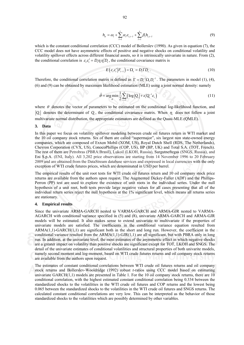$$
h_{it} = \omega_i + \sum_{l=1}^r \alpha_l \varepsilon_{i,t-l} + \sum_{l=1}^s \beta_l h_{i,t-l}
$$
\n(9)

which is the constant conditional correlation (CCC) model of Bollerslev (1990). As given in equation (7), the CCC model does not have asymmetric effects of positive and negative shocks on conditional volatility and volatility spillover effects across different financial assets, so it is intrinsically univariate in nature. From (2), the conditional correlation is  $\varepsilon_i \varepsilon_i = D_i \eta_i \eta_i D_i$ , the conditional covariance matrix is

$$
E\left(\varepsilon_{t}\varepsilon'_{t}|F_{t-1}\right) = \Omega_{t} = D_{t}\Gamma D_{t}.
$$
\n(10)

Therefore, the conditional correlation matrix is defined as  $\Gamma = D_t^{-1} \Omega_t D_t^{-1}$ . The parameters in model (1), (4), (6) and (9) can be obtained by maximum likelihood estimation (MLE) using a joint normal density: namely

$$
\hat{\theta} = \arg\min_{\theta} \frac{1}{2} \sum_{t=1}^{n} \left( \log |Q_t| + \varepsilon_t' Q_t^{-1} \varepsilon_t \right)
$$
(11)

where  $\theta$  denotes the vector of parameters to be estimated on the conditional log-likelihood function, and  $|Q_t|$  denotes the determinant of  $Q_t$ , the conditional covariance matrix. When  $\eta_t$  does not follow a joint multivariate normal distribution, the appropriate estimators are defined as the Quasi-MLE (QMLE).

### **3. Data**

In this paper we focus on volatility spillover modeling between crude oil futures return in WTI market and the 10 oil company stock returns. Six of them are called "supermajor", six largest non state-owned energy companies, which are composed of Exxon Mobil (XOM, US), Royal Dutch Shell (RDS, The Netherlands), Chevron Corporation (CVX, US), ConocoPhillips (COP, US), BP (BP, UK) and Total S.A. (TOT, French). The rest of them are Petrobras (PBRA:Brasil), Lukoil (LKOH, Russia), Surgutneftegas (SNGS, Russia), and Eni S.p.A. (ENI, Italy). All 3,202 price observations are starting from 14 November 1996 to 20 February 2009 and are obtained from the DataStream database services and expressed in local currencies with the only exception of WTI crude futures prices, which are denominated in USD per barrel.

The empirical results of the unit root tests for WTI crude oil futures return and 10 oil company stock price returns are available from the authors upon request. The Augmented Dickey-Fuller (ADF) and the Phillips-Perron (PP) test are used to explore the existence of unit roots in the individual series. Under the null hypothesis of a unit root, both tests provide large negative values for all cases presenting that all of the individual return series reject the null hypothesis at the 1% significant level, which means all returns series are stationary.

### **4. Empirical results**

Since the univariate ARMA-GARCH nested to VARMA-GARCH and ARMA-GJR nested to VARMA-AGARCH with conditional variance specified in (5) and (8), univariate ARMA-GARCH and ARMA-GJR models will be estimated. It also makes sense to extend univariate to multivariate if the properties of univariate models are satisfied. The coefficients in the conditional variance equation resulted from  $ARMA(1,1)-GARCH(1,1)$  are significant both in the short and long run. However, the coefficient in the conditional variance resulted from the  $ARMA(1,1)-GJR(1,1)$  are all significant, but with PBRA only in long run. In addition, at the univariate level, the most estimates of the asymmetric effect in which negative shocks are a greater impact on volatility than positive shocks are significant except for TOT, LKOH and SNGS. The detail of the univariate estimates of conditional volatilities and structural properties of both univarite models, namely second moment and log-moment, based on WTI crude futures returns and oil company stock returns are available from the authors upon request.

The estimates of constant conditional correlations between WTI crude oil futures returns and oil company stock returns and Bollerslev-Wooldridge (1992) robust *t*-ratios using CCC model based on estimating univariate GARCH(1,1) models are presented in Table 1. For the 10 oil company stock returns, there are 10 conditional correlation, with the highest estimated constant conditional correlation being 0.334 between the standardized shocks to the volatilities in the WTI crude oil futures and COP returns and the lowest being 0.065 between the standardized shocks to the volatilities in the WTI crude oil futures and SNGS returns. The calculated constant conditional correlations are very low. This can be interpreted as the behavior of those standardized shocks to the volatilities which are possibly determined by other variables.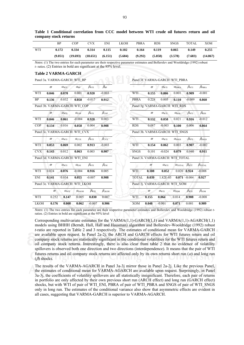|             | <b>BP</b>                                                                                                                                                                                                | <b>COP</b>         |                       | <b>CVX</b>        | <b>ENI</b>           | <b>LKOH</b> | <b>PBRA</b>                      |          | <b>RDS</b>                      | <b>SNGS</b>                                  | <b>TOTAL</b>        | <b>XOM</b>             |
|-------------|----------------------------------------------------------------------------------------------------------------------------------------------------------------------------------------------------------|--------------------|-----------------------|-------------------|----------------------|-------------|----------------------------------|----------|---------------------------------|----------------------------------------------|---------------------|------------------------|
| WTI         | 0.172                                                                                                                                                                                                    | 0.334              |                       | 0.314             | 0.115                | 0.102       | 0.164                            |          | 0.119                           | 0.065                                        | 0.149               | 0.255                  |
|             | (9.051)                                                                                                                                                                                                  | (19.693)           |                       | (18.651)          | (6.151)              | (5.684)     | (9.292)                          |          | (5.858)                         | (3.578)                                      | (7.683)             | (14.867)               |
|             | Notes: (1) The two entries for each parameter are their respective parameter estimates and Bollerslev and Wooldridge (1992) robust<br>$t$ -ratios. (2) Entries in bold are significant at the 95% level. |                    |                       |                   |                      |             |                                  |          |                                 |                                              |                     |                        |
|             | <b>Table 2 VARMA-GARCH</b>                                                                                                                                                                               |                    |                       |                   |                      |             |                                  |          |                                 |                                              |                     |                        |
|             | Panel 3a. VARMA-GARCH: WTI BP                                                                                                                                                                            |                    |                       |                   |                      |             |                                  |          | Panel 3f. VARMA-GARCH: WTI_PBRA |                                              |                     |                        |
|             | $\varpi$                                                                                                                                                                                                 | $\alpha_{\rm WTI}$ | $\alpha_{\rm BP}$     | $\beta_{\rm WTI}$ | $\beta_{\rm BP}$     |             | ۰                                | $\varpi$ | $\alpha_{\rm WTI}$              | $\alpha$ PBRA                                | $\beta_{\rm WTI}$   | $\beta_{\text{PBRA}}$  |
| WTI         | 0.046                                                                                                                                                                                                    | 0.070              | 0.001                 | 0.920             | $-0.003$             |             | WTI                              | 0.155    | 0.066                           | 0.001                                        | 0.909               | $-0.001$               |
| BP          | 0.136                                                                                                                                                                                                    | 0.032              | 0.058                 | $-0.017$          | 0.912                |             | <b>PBRA</b>                      | 0.228    | 0.005                           | 0.110                                        | $-0.009$            | 0.860                  |
|             | Panel 3b. VARMA-GARCH: WTI COP                                                                                                                                                                           |                    |                       |                   |                      |             |                                  |          | Panel 3g. VARMA-GARCH: WTI RDS  |                                              |                     |                        |
|             | $\varpi$                                                                                                                                                                                                 | $\alpha_{\rm WTI}$ | $\alpha$ COP          | $\beta_{\rm WTI}$ | $\beta_{\rm{COP}}$   |             |                                  | $\varpi$ | $\alpha_{\rm WTI}$              | $\alpha$ <sub>RDS</sub>                      | $\beta_{\rm WTI}$   | $\beta_{RDS}$          |
| WTI         | 0.046                                                                                                                                                                                                    | 0.061              | $-0.004$              | 0.928             | 0.003                |             | WTI                              | 0.132    | 0.058                           | 0.021                                        | 0.916               | $-0.012$               |
| <b>COP</b>  | 0.134                                                                                                                                                                                                    | 0.016              | 0.058                 | 0.004             | 0.908                |             | <b>RDS</b>                       | 0.087    | $-0.003$                        | 0.100                                        | 0.006               | 0.864                  |
|             | Panel 3c. VARMA-GARCH: WTI CVX                                                                                                                                                                           |                    |                       |                   |                      |             |                                  |          | Panel 3h. VARMA-GARCH: WTI SNGS |                                              |                     |                        |
|             | $\varpi$                                                                                                                                                                                                 | $\alpha_{\rm WTI}$ | $\alpha_{\text{CVX}}$ | $\beta_{\rm WTI}$ | $\beta_{\text{cvx}}$ |             |                                  | $\varpi$ | $\alpha_{\rm WTI}$              | $\alpha_{\text{SNGS}}$                       | $\beta_{\rm WTI}$   | $\beta_{\text{SNGS}}$  |
| WTI         | 0.053                                                                                                                                                                                                    | 0.069              | 0.002                 | 0.913             | $-0.003$             |             | WTI                              | 0.154    | 0.062                           | 0.003                                        | 0.907               | $-0.002$               |
| <b>CVX</b>  | 0.143                                                                                                                                                                                                    | 0.012              | 0.063                 | 0.003             | 0.907                |             | <b>SNGS</b>                      | 0.101    | $-0.024$                        | 0.079                                        | 0.040               | 0.911                  |
|             | Panel 3d. VARMA-GARCH: WTI ENI                                                                                                                                                                           |                    |                       |                   |                      |             | Panel 3i. VARMA-GARCH: WTI TOTAL |          |                                 |                                              |                     |                        |
|             | $\varpi$                                                                                                                                                                                                 | $\alpha_{\rm WTI}$ | $\alpha_{\text{ENI}}$ | $\beta_{\rm WTI}$ | $\beta_{\text{ENI}}$ |             |                                  | $\varpi$ | $\alpha_{\rm WTI}$              | $\alpha_{\text{TOTAL}}$ $\beta_{\text{WTI}}$ |                     | $\beta_{\text{TOTAL}}$ |
| WTI         | 0.024                                                                                                                                                                                                    | 0.076              | $-0.004$              | 0.916             | 0.005                |             | WTI                              | 0.108    | 0.052                           |                                              | $0.020 \quad 0.924$ | $-0.008$               |
| <b>ENI</b>  | 0.141                                                                                                                                                                                                    | 0.034              | 0.055                 | $-0.007$          | 0.908                |             | <b>TOTAL</b>                     | 0.039    | 1.82E-05                        |                                              | $0.071 - 0.004$     | 0.927                  |
|             | Panel 3e. VARMA-GARCH: WTI LKOH                                                                                                                                                                          |                    |                       |                   |                      |             |                                  |          | Panel 3j. VARMA-GARCH: WTI XOM  |                                              |                     |                        |
|             | $\varpi$                                                                                                                                                                                                 | $\alpha_{\rm WII}$ | $\alpha$ LKOH         | $\beta_{\rm WTI}$ | $\beta_{\rm LKOH}$   |             |                                  | $\varpi$ | $\alpha_{\rm WTI}$              | $\alpha_{\text{XOM}}$                        | $\beta_{\rm {WTI}}$ | $\beta_{\text{XOM}}$   |
| WTI         | 0.252                                                                                                                                                                                                    | 0.147              | 0.005                 | 0.830             | 0.007                |             | WTI                              | 0.155    | 0.064                           | 0.014                                        | 0.908               | $-0.008$               |
| <b>LKOH</b> | 0.176                                                                                                                                                                                                    | 0.008              | 0.062                 | $-0.007$          | 0.906                |             | <b>XOM</b>                       | 0.048    | $-0.001$                        | 0.071                                        | 0.001               | 0.909                  |

**Table 1 Conditional correlation from CCC model between WTI crude oil futures return and oil company stock returns** 

*Notes*: (1) The two entries for each parameter are their respective parameter estimates and Bollerslev and Wooldridge (1992) robust *t*ratios. (2) Entries in bold are significant at the 95% level

Corresponding multivariate estimates for the VARMA(1,1)-GARCH(1,1) and VARMA(1,1)-AGARCH(1,1) models using BHHH (Berndt, Hall, Hall and Hausman) algorithm and Bollerslev-Wooldridge (1992) robust *t*-ratio are reported in Table 2 and 3 respectively. The estimates of conditional mean for VARMA-GARCH are available upon request. In Panel 2a-2j, the ARCH and GARCH effects for WTI futures return and oil company stock returns are statistically significant in the conditional volatilities for the WTI futures return and oil company stock returns. Interestingly, there is also clear from table 2 that no evidence of volatility spillovers is observed both one direction and two directions (interdependence). It means that the pair of WTI futures returns and oil company stock returns are affected only by its own returns short run  $(\alpha)$  and long run  $(\beta)$  shocks.

The results of the VARMA-AGARCH in Panel 3a-3j mirror those in Panel 2a-2j. Like the previous Panel, the estimates of conditional mean for VARMA-AGARCH are available upon request. Surprisingly, in Panel 3a-3j, the coefficients of volatility spillovers are all statistically insignificant. Therefore, each pair of returns in portfolio are only affected by their own previous short run (ARCH effect) and long run (GARCH effect) shocks, but with WTI of pair of WTI\_ENI, PBRA of pair of WTI\_PBRA and SNGS of pair of WTI\_SNGS only in long run. The estimates of the conditional variance also show that asymmetric effects are evident in all cases, suggesting that VARMA-GARCH is superior to VARMA-AGARCH.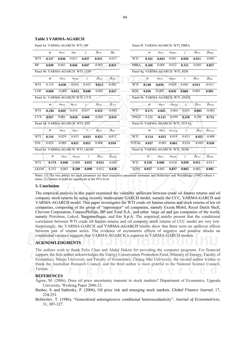# **Table 3 VARMA-AGARCH**

Panel 4a. VARMA-AGARCH: WTI\_BP

|             | $\varpi$                        | $\alpha_{\rm WTI}$    | $\alpha_{\rm BP}$     | γ                                | $\beta_{\rm WTI}$ | $\beta_{\rm BP}$     |              | $\varpi$ | $\alpha_{\rm WTI}$                | $\alpha_{\rm PBRA}$     | $\gamma$ | $\beta_{\rm WTI}$ | $\beta_{\rm PBRA}$     |
|-------------|---------------------------------|-----------------------|-----------------------|----------------------------------|-------------------|----------------------|--------------|----------|-----------------------------------|-------------------------|----------|-------------------|------------------------|
| WTI         | 0.137                           | 0.036                 | 0.031                 | 0.037                            | 0.915             | $-0.017$             | WTI          | 0.161    | 0.043                             | 0.001                   | 0.039    | 0.911             | $-0.001$               |
| <b>BP</b>   | 0.049                           | 0.001                 | 0.044                 | 0.047                            | $-0.003$          | 0.921                | <b>PBRA</b>  | 0.266    | 0.004                             | 0.022                   | 0.155    | $-0.003$          | 0.857                  |
|             | Panel 4b. VARMA-AGARCH: WTI_COP |                       |                       |                                  |                   |                      |              |          | Panel 4g. VARMA-AGARCH: WTI RDS   |                         |          |                   |                        |
|             | $\varpi$                        | $\alpha_{\rm WTI}$    | $\alpha_{\rm COP}$    | γ                                | $\beta_{\rm WTI}$ | $\beta_{\rm COP}$    |              | $\varpi$ | $\alpha_{\rm WTI}$                | $\alpha_{RDS}$          | $\gamma$ | $\beta_{\rm WTI}$ | $\beta_{\rm RDS}$      |
| WTI         | 0.135                           | 0.038                 | 0.016                 | 0.032                            | 0.912             | 0.002                | WTI          | 0.148    | 0.039                             | 0.020                   | 0.036    | 0.913             | $-0.011$               |
| <b>COP</b>  | 0.060                           | $-0.004$              | 0.033                 | 0.048                            | 0.002             | 0.927                | <b>RDS</b>   | 0.036    | $-0.005$                          | 0.056                   | 0.060    | 0.005             | 0.903                  |
|             | Panel 4c. VARMA-AGARCH: WTI CVX |                       |                       |                                  |                   |                      |              |          | Panel 4h. VARMA-AGARCH: WTI SNGS  |                         |          |                   |                        |
|             | $\varpi$                        | $\alpha_{\text{WTI}}$ | $\alpha_{\text{CVX}}$ | $\gamma$                         | $\beta_{\rm WTI}$ | $\beta_{\text{CVX}}$ |              | $\varpi$ | $\alpha_{\rm WTI}$                | $\alpha_{\rm SNGS}$     | $\gamma$ | $\beta_{\rm WTI}$ | $\beta_{\rm SNGS}$     |
| WTI         | 0.144                           | 0.039                 | 0.014                 | 0.037                            | 0.912             | $-0.002$             | WTI          | 0.175    | 0.045                             | 0.003                   | 0.035    | 0.903             | $-0.002$               |
| <b>CVX</b>  | 0.057                           | 0.001                 | 0.034                 | 0.060                            | $-0.002$          | 0.914                | <b>SNGS</b>  | 5.326    | $-0.115$                          | 0.059                   | 0.156    | 0.295             | 0.751                  |
|             | Panel 4d. VARMA-AGARCH: WTI_ENI |                       |                       |                                  |                   |                      |              |          | Panel 4i. VARMA-AGARCH: WTI_TOTAL |                         |          |                   |                        |
|             | $\varpi$                        | $\alpha_{\rm WTI}$    | $\alpha_{\rm ENI}$    | $\gamma$                         | $\beta_{\rm WTI}$ | $\beta_{\text{ENI}}$ |              | $\varpi$ | $\alpha_{\rm WTI}$                | $\alpha_{\text{TOTAL}}$ | $\gamma$ | $\beta_{\rm WTI}$ | $\beta_{\text{TOTAL}}$ |
| WTI         | 0.116                           | 0.029                 | 0.033                 | 0.033                            | 0.923             | $-0.012$             | WTI          | 0.114    | 0.033                             | 0.019                   | 0.033    | 0.925             | $-0.008$               |
| <b>ENI</b>  | 0.024                           | $-0.005$              | 0.051                 | 0.051                            | 0.008             | 0.910                | <b>TOTAL</b> | 0.037    | $-0.001$                          | 0.061                   | 0.014    | $-0.003$          | 0.930                  |
|             |                                 |                       |                       | Panel 4e. VARMA-AGARCH: WTI_LKOH |                   |                      |              |          | Panel 4j. VARMA-AGARCH: WTI_XOM   |                         |          |                   |                        |
|             | $\varpi$                        | $\alpha_{\rm WTI}$    | $\alpha$ LKOH         | $\gamma$                         | $\beta_{\rm WTI}$ | $\beta_{\rm LKOH}$   |              | $\varpi$ | $\alpha_{\rm WTI}$                | $\alpha_{\text{XOM}}$   | $\gamma$ | $\beta_{\rm WTI}$ | $\beta_{\text{XOM}}$   |
| WTI         | 0.174                           | 0.040                 | 0.008                 | 0.035                            | 0.912             | $-0.007$             | WTI          | 0.158    | 0.040                             | 0.014                   | 0.039    | 0.911             | $-0.011$               |
| <b>LKOH</b> | 0.252                           | 0.003                 | 0.100                 | 0.090                            | 0.012             | 0.828                | <b>XOM</b>   | 0.057    | $-0.001$                          | 0.037                   | 0.063    | 0.003             | 0.905                  |

*Notes*: (1) The two entries for each parameter are their respective parameter estimates and Bollerslev and Wooldridge (1992) robust *t*ratios. (2) Entries in bold are significant at the 95% level

### **5. Conclusion**

The empirical analysis in this paper examined the volatility spillovers between crude oil futures returns and oil company stock returns by using recently multivariate GARCH model, namely the CCC, VARMA-GARCH and VARMA-AGARCH model. This paper investigates the WTI crude oil futures returns and stock returns of ten oil companies, composing of the group of "supermajor" oil companies, namely Exxon Mobil, Royal Dutch Shell, Chevron Corporation, ConocoPhillips, BP and Total S.A., and other large oil and gas companies of the world, namely Petrobras, Lukoil, Surgutneftegas, and Eni S.p.A. The empirical results present that the conditional correlation between WTI crude oil futures returns and oil company stock returns of CCC model are very low. Surprisingly, the VARMA-GARCH and VARMA-AGARCH results show that there were no spillover effects between pair of returns series. The evidence of asymmetric effects of negative and positive shocks on conditional variance suggests that VARMA-AGARCH is superior to VARMA-GARCH models.

### **ACKNOWLEDGMENTS**

The authors wish to thank Felix Chan and Abdul Hakim for providing the computer programs. For financial support, the first author acknowledges the Energy Conservation Promotion Fund, Ministry of Energy, Faculty of Economics, Maejo University and Faculty of Economics, Chiang Mai University, the second author wishes to thank the Australian Research Council, and the third author is most grateful to the National Science Council, Taiwan.

## **REFERENCES**

- Ågren, M. (2006), Does oil price uncertainty transmit to stock markets? Department of Economics, Uppsala University, Working Paper 2006:23.
- Basher, S. and Sadorsky, P. (2006), Oil price risk and emerging stock markets. *Global Finance Journal*, 17, 224-251.

Bollerslev, T. (1986), "Generalized autoregressive conditional heteroscedasticity". *Journal of Econometrices*, 31, 307-327.

Panel 4f. VARMA-AGARCH: WTI\_PBRA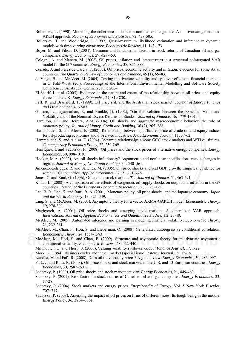- Bollerslev, T. (1990), Modelling the coherence in short-run nominal exchange rate: A multivariate generalized ARCH approach. *Review of Economics and Statistics*, 72, 498-505.
- Bollerslev, T. and Wooldridge, J. (1992), Quasi-maximum likelihood estimation and inference in dynamic models with time-varying covariance. *Econometric Reviews,*11, 143-173
- Boyer, M. and Filion, D. (2004), Common and fundamental factors in stock returns of Canadian oil and gas companies. *Energy Economics*, 29, 428-453.
- Cologni, A. and Manera, M. (2008), Oil prices, inflation and interest rates in a structural cointegrated VAR model for the G-7 countries. *Energy Economics*, 38, 856–888.
- Cunado, J. and Perez de Garcia, F. (2005), Oil prices, economic activity and inflation: evidence for some Asian countries. *The Quarterly Review of Economics and Finance*, 45 (1), 65–83.
- de Veiga, B. and McAleer, M. (2004), Testing multivariate volatility and spillover effects in financial markets. in C. Pahl-Wostl (ed.), Proceedings of the International Environmental Modelling and Software Society Conference, Osnabruck, Germany, June 2004.
- El-Sharif, I. et al. (2005), Evidence on the nature and extent of the relationship between oil prices and equity values in the UK. *Energy Economics*, 27, 819-830.
- Faff, R. and Brailsford, T. (1999), Oil price risk and the Australian stock market. *Journal of Energy Finance and Development*, 4, 69-87.
- Glosten, L., Jagannathan, R. and Runkle, D. (1992), "On the Relation between the Expected Value and Volatiltiy and of the Nominal Excess Returns on Stocks". *Journal of Finance*, 46, 1779-1801.
- Hamilton, J.D. and Herrera, A.M. (2004), Oil shocks and aggregate macroeconomic behavior: the role of monetary policy. *Journal of Money, Credit and Banking*, 36 (2), 265–286.
- Hammoudeh, S. and Aleisa, E. (2002), Relationship between spot/futures price of crude oil and equity indices for oil-producing economies and oil-related industries. *Arab Economic Journal*, 11, 37-62.
- Hammoudeh, S. and Aleisa, E. (2004). Dynamic relationships among GCC stock markets and WTI oil futures. *Contemporary Economics Policy*, 22, 250-269.
- Henriques, I. and Sadorsky, P. (2008), Oil prices and the stock prices of alternative energy companies. *Energy Economics*, 30, 998–1010.
- Hooker, M.A. (2002), Are oil shocks inflationary? Asymmetric and nonlinear specifications versus changes in regime. *Journal of Money, Credit and Banking*, 34, 540–561.
- Jimenez-Rodriguez, R. and Sanchez, M. (2005), Oil price shocks and real GDP growth: Empirical evidence for some OECD countries. *Applied Economics*, 37 (2), 201–228.
- Jones, C. and Kaul, G. (1996), Oil and the stock markets. *The Journal of Finance*, 51, 463-491.
- Kilian, L. (2008), A comparison of the effects of exogenous oil supply shocks on output and inflation in the G7 countries. *Journal of the European Economic Association*, 6 (1), 78–121.
- Lee, B. R., Lee, K. and Ratti, R. A. (2001), Monetary policy, oil price shocks, and the Japanese economy. *Japan and the World Economy*, 13, 321–349.
- Ling, S. and McAleer, M. (2003), Asymptotic theory for a vector ARMA-GARCH model. *Econometric Theory*, 19, 278-308.
- Maghyereh, A. (2004), Oil price shocks and emerging stock markets: A generalized VAR approach. *International Journal of Applied Econometrics and Quantitative Studies*, 1,2, 27-40.
- McAleer, M. (2005), Automated inference and learning in modeling financial volatility. *Econometric Theory*, 21, 232-261.
- McAleer, M., Chan, F., Hoti, S. and Lieberman, O. (2008), Generalized autoregressive conditional correlation. *Econometric Theory*, 24, 1554-1583.
- McAleer, M., Hoti, S. and Chan, F. (2009). Structure and asymptotic theory for multivariate asymmetric conditional volatility. *Econometric Reviews*, 28, 422-440.
- Milunovich, G. and Thorp, S. (2006), Valuing volatility spillover. *Global Finance Journal*, 17, 1-22.
- Mork, K. (1994). Business cycles and the oil market (special issue). *Energy Journal*. 15, 15-38.
- Nandha, M and Faff, R. (2008), Does oil move equity prices? A global view. *Energy Economics*, 30, 986–997. Park, J. and Ratti, R. (2008), Oil price shocks and stock markets in the U.S. and 13 European countries. *Energy*
- *Economics*, 30, 2587–2608.
- Sadorsky, P. (1999), Oil price shocks and stock market activity. *Energy Economics*, 21, 449-469.
- Sadorsky, P. (2001), Risk factors in stock returns of Canadian oil and gas companies. *Energy Economics*, 23, 17-28.
- Sadorsky, P. (2004), Stock markets and energy prices. *Encyclopedia of Energy*, Vol. 5 New York Elsevier, 707−717.
- Sadorsky, P. (2008), Assessing the impact of oil prices on firms of different sizes: Its tough being in the middle. *Energy Policy*, 36, 3854–3861.